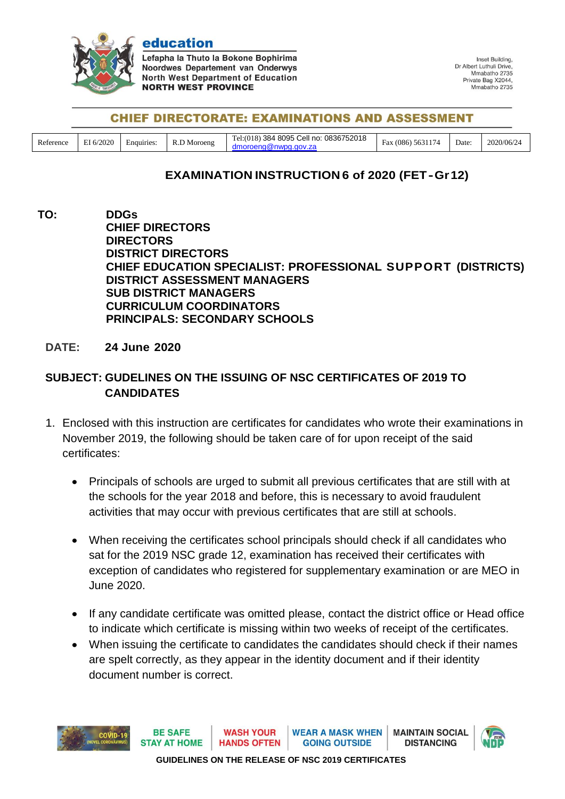

education Lefapha la Thuto la Bokone Bophirima Noordwes Departement van Onderwys **North West Department of Education NORTH WEST PROVINCE** 

Inset Building, Dr Albert Luthuli Drive, Mmahatho 2735 Private Bag X2044, Mmabatho 2735

## **CHIEF DIRECTORATE: EXAMINATIONS AND ASSESSMENT**

| Reference | I 6/2020<br>$\sim$ | -<br>Enquiries: | Moroeng<br>N.L | 0836752018<br>! 8095 Cell no:<br>384<br>18<br>Ta1/(01)<br>amoroen <sup>r</sup><br>ıu | 5631<br>$\overline{\phantom{a}}$<br>086<br>tax<br>74 | $\sqrt{ }$<br>Date: | 2020/06/24 |
|-----------|--------------------|-----------------|----------------|--------------------------------------------------------------------------------------|------------------------------------------------------|---------------------|------------|
|-----------|--------------------|-----------------|----------------|--------------------------------------------------------------------------------------|------------------------------------------------------|---------------------|------------|

## **EXAMINATION INSTRUCTION 6 of 2020 (FET-Gr12)**

**TO: DDGs CHIEF DIRECTORS DIRECTORS DISTRICT DIRECTORS CHIEF EDUCATION SPECIALIST: PROFESSIONAL SUPPORT (DISTRICTS) DISTRICT ASSESSMENT MANAGERS SUB DISTRICT MANAGERS CURRICULUM COORDINATORS PRINCIPALS: SECONDARY SCHOOLS**

## **DATE: 24 June 2020**

## **SUBJECT: GUDELINES ON THE ISSUING OF NSC CERTIFICATES OF 2019 TO CANDIDATES**

- 1. Enclosed with this instruction are certificates for candidates who wrote their examinations in November 2019, the following should be taken care of for upon receipt of the said certificates:
	- Principals of schools are urged to submit all previous certificates that are still with at the schools for the year 2018 and before, this is necessary to avoid fraudulent activities that may occur with previous certificates that are still at schools.
	- When receiving the certificates school principals should check if all candidates who sat for the 2019 NSC grade 12, examination has received their certificates with exception of candidates who registered for supplementary examination or are MEO in June 2020.
	- If any candidate certificate was omitted please, contact the district office or Head office to indicate which certificate is missing within two weeks of receipt of the certificates.
	- When issuing the certificate to candidates the candidates should check if their names are spelt correctly, as they appear in the identity document and if their identity document number is correct.



**GUIDELINES ON THE RELEASE OF NSC 2019 CERTIFICATES**